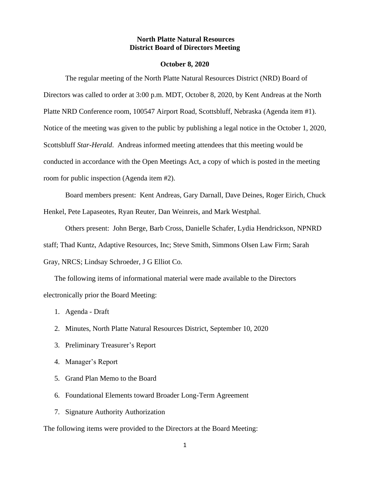## **North Platte Natural Resources District Board of Directors Meeting**

#### **October 8, 2020**

The regular meeting of the North Platte Natural Resources District (NRD) Board of Directors was called to order at 3:00 p.m. MDT, October 8, 2020, by Kent Andreas at the North Platte NRD Conference room, 100547 Airport Road, Scottsbluff, Nebraska (Agenda item #1). Notice of the meeting was given to the public by publishing a legal notice in the October 1, 2020, Scottsbluff *Star-Herald*. Andreas informed meeting attendees that this meeting would be conducted in accordance with the Open Meetings Act, a copy of which is posted in the meeting room for public inspection (Agenda item #2).

Board members present: Kent Andreas, Gary Darnall, Dave Deines, Roger Eirich, Chuck Henkel, Pete Lapaseotes, Ryan Reuter, Dan Weinreis, and Mark Westphal.

Others present: John Berge, Barb Cross, Danielle Schafer, Lydia Hendrickson, NPNRD staff; Thad Kuntz, Adaptive Resources, Inc; Steve Smith, Simmons Olsen Law Firm; Sarah Gray, NRCS; Lindsay Schroeder, J G Elliot Co.

The following items of informational material were made available to the Directors electronically prior the Board Meeting:

- 1. Agenda Draft
- 2. Minutes, North Platte Natural Resources District, September 10, 2020
- 3. Preliminary Treasurer's Report
- 4. Manager's Report
- 5. Grand Plan Memo to the Board
- 6. Foundational Elements toward Broader Long-Term Agreement
- 7. Signature Authority Authorization

The following items were provided to the Directors at the Board Meeting: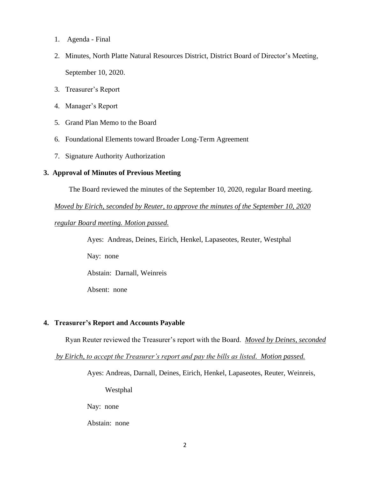- 1. Agenda Final
- 2. Minutes, North Platte Natural Resources District, District Board of Director's Meeting, September 10, 2020.
- 3. Treasurer's Report
- 4. Manager's Report
- 5. Grand Plan Memo to the Board
- 6. Foundational Elements toward Broader Long-Term Agreement
- 7. Signature Authority Authorization

## **3. Approval of Minutes of Previous Meeting**

The Board reviewed the minutes of the September 10, 2020, regular Board meeting.

*Moved by Eirich, seconded by Reuter, to approve the minutes of the September 10, 2020* 

# *regular Board meeting. Motion passed.*

Ayes: Andreas, Deines, Eirich, Henkel, Lapaseotes, Reuter, Westphal

Nay: none

Abstain: Darnall, Weinreis

Absent: none

# **4. Treasurer's Report and Accounts Payable**

Ryan Reuter reviewed the Treasurer's report with the Board. *Moved by Deines, seconded*

 *by Eirich, to accept the Treasurer's report and pay the bills as listed. Motion passed.*

Ayes: Andreas, Darnall, Deines, Eirich, Henkel, Lapaseotes, Reuter, Weinreis,

Westphal

Nay: none

Abstain: none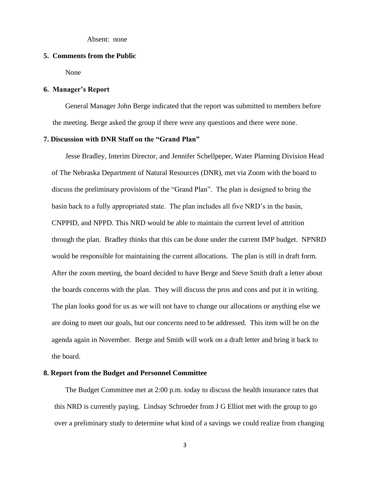Absent: none

### **5. Comments from the Public**

None

### **6. Manager's Report**

General Manager John Berge indicated that the report was submitted to members before the meeting. Berge asked the group if there were any questions and there were none.

## **7. Discussion with DNR Staff on the "Grand Plan"**

Jesse Bradley, Interim Director, and Jennifer Schellpeper, Water Planning Division Head of The Nebraska Department of Natural Resources (DNR), met via Zoom with the board to discuss the preliminary provisions of the "Grand Plan". The plan is designed to bring the basin back to a fully appropriated state. The plan includes all five NRD's in the basin, CNPPID, and NPPD. This NRD would be able to maintain the current level of attrition through the plan. Bradley thinks that this can be done under the current IMP budget. NPNRD would be responsible for maintaining the current allocations. The plan is still in draft form. After the zoom meeting, the board decided to have Berge and Steve Smith draft a letter about the boards concerns with the plan. They will discuss the pros and cons and put it in writing. The plan looks good for us as we will not have to change our allocations or anything else we are doing to meet our goals, but our concerns need to be addressed. This item will be on the agenda again in November. Berge and Smith will work on a draft letter and bring it back to the board.

### **8. Report from the Budget and Personnel Committee**

The Budget Committee met at 2:00 p.m. today to discuss the health insurance rates that this NRD is currently paying. Lindsay Schroeder from J G Elliot met with the group to go over a preliminary study to determine what kind of a savings we could realize from changing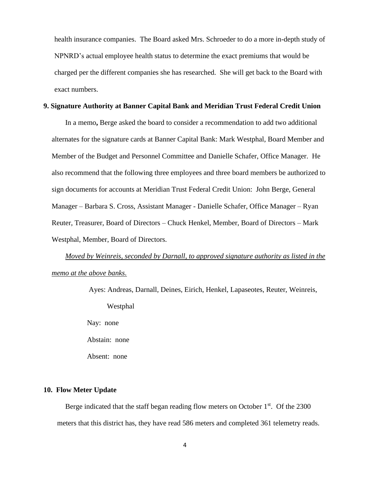health insurance companies. The Board asked Mrs. Schroeder to do a more in-depth study of NPNRD's actual employee health status to determine the exact premiums that would be charged per the different companies she has researched. She will get back to the Board with exact numbers.

### **9. Signature Authority at Banner Capital Bank and Meridian Trust Federal Credit Union**

In a memo**,** Berge asked the board to consider a recommendation to add two additional alternates for the signature cards at Banner Capital Bank: Mark Westphal, Board Member and Member of the Budget and Personnel Committee and Danielle Schafer, Office Manager. He also recommend that the following three employees and three board members be authorized to sign documents for accounts at Meridian Trust Federal Credit Union: John Berge, General Manager – Barbara S. Cross, Assistant Manager - Danielle Schafer, Office Manager – Ryan Reuter, Treasurer, Board of Directors – Chuck Henkel, Member, Board of Directors – Mark Westphal, Member, Board of Directors.

*Moved by Weinreis, seconded by Darnall, to approved signature authority as listed in the memo at the above banks.*

> Ayes: Andreas, Darnall, Deines, Eirich, Henkel, Lapaseotes, Reuter, Weinreis, Westphal Nay: none Abstain: none Absent: none

### **10. Flow Meter Update**

Berge indicated that the staff began reading flow meters on October  $1<sup>st</sup>$ . Of the 2300 meters that this district has, they have read 586 meters and completed 361 telemetry reads.